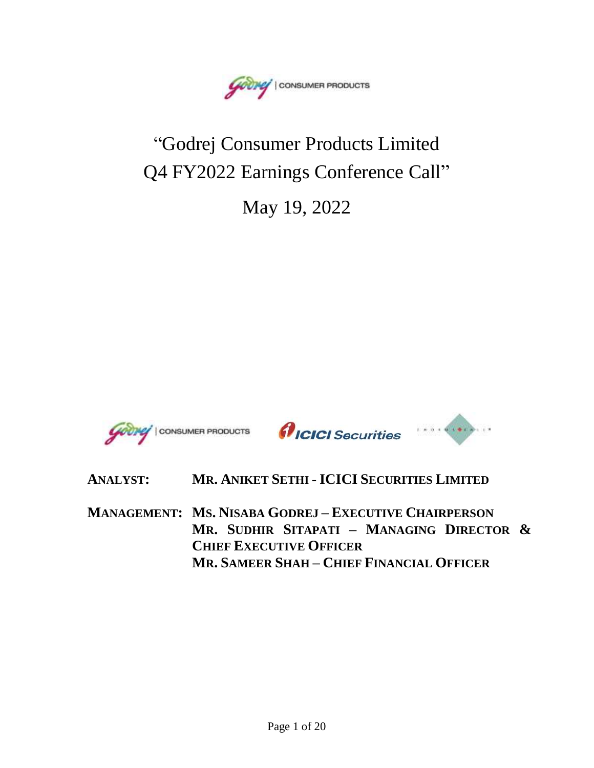Goong | CONSUMER PRODUCTS

# "Godrej Consumer Products Limited Q4 FY2022 Earnings Conference Call"

May 19, 2022





# **ANALYST: MR. ANIKET SETHI - ICICI SECURITIES LIMITED MANAGEMENT: MS. NISABA GODREJ – EXECUTIVE CHAIRPERSON**

**MR. SUDHIR SITAPATI – MANAGING DIRECTOR & CHIEF EXECUTIVE OFFICER MR. SAMEER SHAH – CHIEF FINANCIAL OFFICER**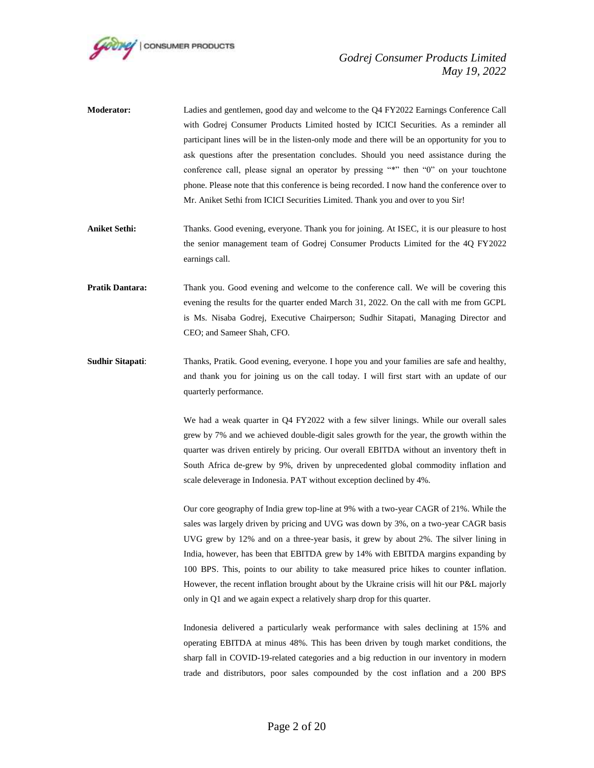

| <b>Moderator:</b> | Ladies and gentlemen, good day and welcome to the Q4 FY2022 Earnings Conference Call          |
|-------------------|-----------------------------------------------------------------------------------------------|
|                   | with Godrej Consumer Products Limited hosted by ICICI Securities. As a reminder all           |
|                   | participant lines will be in the listen-only mode and there will be an opportunity for you to |
|                   | ask questions after the presentation concludes. Should you need assistance during the         |
|                   | conference call, please signal an operator by pressing "*" then "0" on your touchtone         |
|                   | phone. Please note that this conference is being recorded. I now hand the conference over to  |
|                   | Mr. Aniket Sethi from ICICI Securities Limited. Thank you and over to you Sir!                |
|                   |                                                                                               |

- **Aniket Sethi:** Thanks. Good evening, everyone. Thank you for joining. At ISEC, it is our pleasure to host the senior management team of Godrej Consumer Products Limited for the 4Q FY2022 earnings call.
- **Pratik Dantara:** Thank you. Good evening and welcome to the conference call. We will be covering this evening the results for the quarter ended March 31, 2022. On the call with me from GCPL is Ms. Nisaba Godrej, Executive Chairperson; Sudhir Sitapati, Managing Director and CEO; and Sameer Shah, CFO.
- **Sudhir Sitapati**: Thanks, Pratik. Good evening, everyone. I hope you and your families are safe and healthy, and thank you for joining us on the call today. I will first start with an update of our quarterly performance.

We had a weak quarter in Q4 FY2022 with a few silver linings. While our overall sales grew by 7% and we achieved double-digit sales growth for the year, the growth within the quarter was driven entirely by pricing. Our overall EBITDA without an inventory theft in South Africa de-grew by 9%, driven by unprecedented global commodity inflation and scale deleverage in Indonesia. PAT without exception declined by 4%.

Our core geography of India grew top-line at 9% with a two-year CAGR of 21%. While the sales was largely driven by pricing and UVG was down by 3%, on a two-year CAGR basis UVG grew by 12% and on a three-year basis, it grew by about 2%. The silver lining in India, however, has been that EBITDA grew by 14% with EBITDA margins expanding by 100 BPS. This, points to our ability to take measured price hikes to counter inflation. However, the recent inflation brought about by the Ukraine crisis will hit our P&L majorly only in Q1 and we again expect a relatively sharp drop for this quarter.

Indonesia delivered a particularly weak performance with sales declining at 15% and operating EBITDA at minus 48%. This has been driven by tough market conditions, the sharp fall in COVID-19-related categories and a big reduction in our inventory in modern trade and distributors, poor sales compounded by the cost inflation and a 200 BPS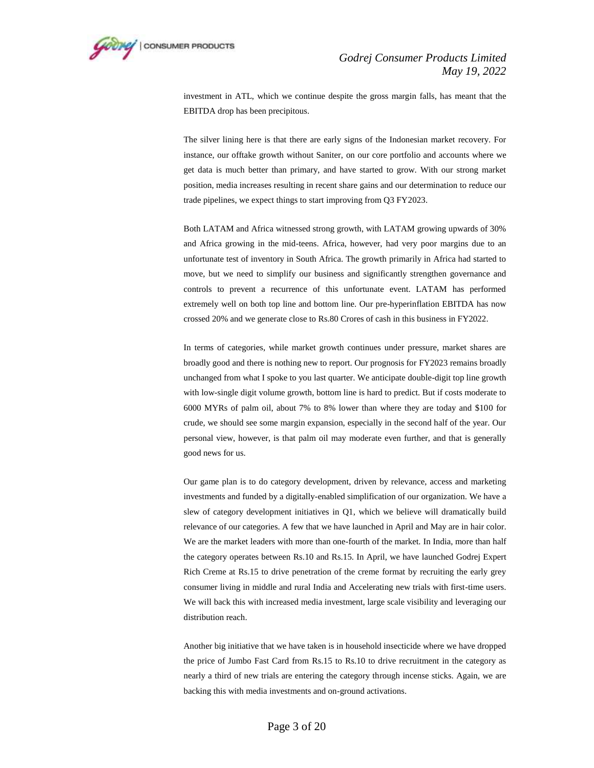

investment in ATL, which we continue despite the gross margin falls, has meant that the EBITDA drop has been precipitous.

The silver lining here is that there are early signs of the Indonesian market recovery. For instance, our offtake growth without Saniter, on our core portfolio and accounts where we get data is much better than primary, and have started to grow. With our strong market position, media increases resulting in recent share gains and our determination to reduce our trade pipelines, we expect things to start improving from Q3 FY2023.

Both LATAM and Africa witnessed strong growth, with LATAM growing upwards of 30% and Africa growing in the mid-teens. Africa, however, had very poor margins due to an unfortunate test of inventory in South Africa. The growth primarily in Africa had started to move, but we need to simplify our business and significantly strengthen governance and controls to prevent a recurrence of this unfortunate event. LATAM has performed extremely well on both top line and bottom line. Our pre-hyperinflation EBITDA has now crossed 20% and we generate close to Rs.80 Crores of cash in this business in FY2022.

In terms of categories, while market growth continues under pressure, market shares are broadly good and there is nothing new to report. Our prognosis for FY2023 remains broadly unchanged from what I spoke to you last quarter. We anticipate double-digit top line growth with low-single digit volume growth, bottom line is hard to predict. But if costs moderate to 6000 MYRs of palm oil, about 7% to 8% lower than where they are today and \$100 for crude, we should see some margin expansion, especially in the second half of the year. Our personal view, however, is that palm oil may moderate even further, and that is generally good news for us.

Our game plan is to do category development, driven by relevance, access and marketing investments and funded by a digitally-enabled simplification of our organization. We have a slew of category development initiatives in Q1, which we believe will dramatically build relevance of our categories. A few that we have launched in April and May are in hair color. We are the market leaders with more than one-fourth of the market. In India, more than half the category operates between Rs.10 and Rs.15. In April, we have launched Godrej Expert Rich Creme at Rs.15 to drive penetration of the creme format by recruiting the early grey consumer living in middle and rural India and Accelerating new trials with first-time users. We will back this with increased media investment, large scale visibility and leveraging our distribution reach.

Another big initiative that we have taken is in household insecticide where we have dropped the price of Jumbo Fast Card from Rs.15 to Rs.10 to drive recruitment in the category as nearly a third of new trials are entering the category through incense sticks. Again, we are backing this with media investments and on-ground activations.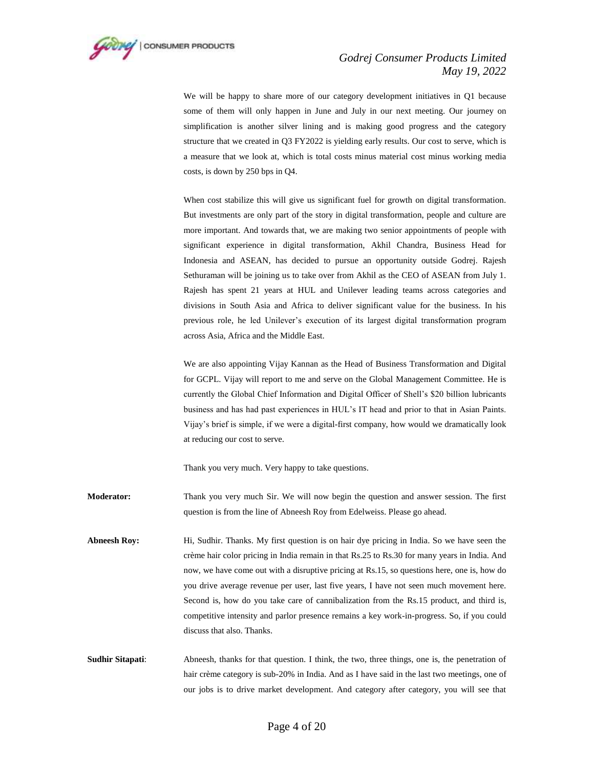

We will be happy to share more of our category development initiatives in Q1 because some of them will only happen in June and July in our next meeting. Our journey on simplification is another silver lining and is making good progress and the category structure that we created in Q3 FY2022 is yielding early results. Our cost to serve, which is a measure that we look at, which is total costs minus material cost minus working media costs, is down by 250 bps in Q4.

When cost stabilize this will give us significant fuel for growth on digital transformation. But investments are only part of the story in digital transformation, people and culture are more important. And towards that, we are making two senior appointments of people with significant experience in digital transformation, Akhil Chandra, Business Head for Indonesia and ASEAN, has decided to pursue an opportunity outside Godrej. Rajesh Sethuraman will be joining us to take over from Akhil as the CEO of ASEAN from July 1. Rajesh has spent 21 years at HUL and Unilever leading teams across categories and divisions in South Asia and Africa to deliver significant value for the business. In his previous role, he led Unilever's execution of its largest digital transformation program across Asia, Africa and the Middle East.

We are also appointing Vijay Kannan as the Head of Business Transformation and Digital for GCPL. Vijay will report to me and serve on the Global Management Committee. He is currently the Global Chief Information and Digital Officer of Shell's \$20 billion lubricants business and has had past experiences in HUL's IT head and prior to that in Asian Paints. Vijay's brief is simple, if we were a digital-first company, how would we dramatically look at reducing our cost to serve.

Thank you very much. Very happy to take questions.

**Moderator:** Thank you very much Sir. We will now begin the question and answer session. The first question is from the line of Abneesh Roy from Edelweiss. Please go ahead.

- **Abneesh Roy:** Hi, Sudhir. Thanks. My first question is on hair dye pricing in India. So we have seen the crème hair color pricing in India remain in that Rs.25 to Rs.30 for many years in India. And now, we have come out with a disruptive pricing at Rs.15, so questions here, one is, how do you drive average revenue per user, last five years, I have not seen much movement here. Second is, how do you take care of cannibalization from the Rs.15 product, and third is, competitive intensity and parlor presence remains a key work-in-progress. So, if you could discuss that also. Thanks.
- **Sudhir Sitapati:** Abneesh, thanks for that question. I think, the two, three things, one is, the penetration of hair crème category is sub-20% in India. And as I have said in the last two meetings, one of our jobs is to drive market development. And category after category, you will see that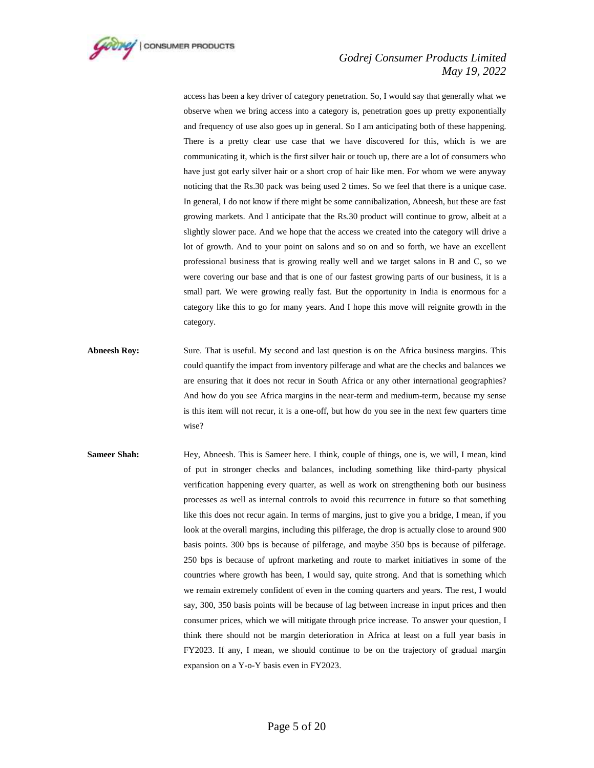

access has been a key driver of category penetration. So, I would say that generally what we observe when we bring access into a category is, penetration goes up pretty exponentially and frequency of use also goes up in general. So I am anticipating both of these happening. There is a pretty clear use case that we have discovered for this, which is we are communicating it, which is the first silver hair or touch up, there are a lot of consumers who have just got early silver hair or a short crop of hair like men. For whom we were anyway noticing that the Rs.30 pack was being used 2 times. So we feel that there is a unique case. In general, I do not know if there might be some cannibalization, Abneesh, but these are fast growing markets. And I anticipate that the Rs.30 product will continue to grow, albeit at a slightly slower pace. And we hope that the access we created into the category will drive a lot of growth. And to your point on salons and so on and so forth, we have an excellent professional business that is growing really well and we target salons in B and C, so we were covering our base and that is one of our fastest growing parts of our business, it is a small part. We were growing really fast. But the opportunity in India is enormous for a category like this to go for many years. And I hope this move will reignite growth in the category.

- **Abneesh Roy:** Sure. That is useful. My second and last question is on the Africa business margins. This could quantify the impact from inventory pilferage and what are the checks and balances we are ensuring that it does not recur in South Africa or any other international geographies? And how do you see Africa margins in the near-term and medium-term, because my sense is this item will not recur, it is a one-off, but how do you see in the next few quarters time wise?
- **Sameer Shah:** Hey, Abneesh. This is Sameer here. I think, couple of things, one is, we will, I mean, kind of put in stronger checks and balances, including something like third-party physical verification happening every quarter, as well as work on strengthening both our business processes as well as internal controls to avoid this recurrence in future so that something like this does not recur again. In terms of margins, just to give you a bridge, I mean, if you look at the overall margins, including this pilferage, the drop is actually close to around 900 basis points. 300 bps is because of pilferage, and maybe 350 bps is because of pilferage. 250 bps is because of upfront marketing and route to market initiatives in some of the countries where growth has been, I would say, quite strong. And that is something which we remain extremely confident of even in the coming quarters and years. The rest, I would say, 300, 350 basis points will be because of lag between increase in input prices and then consumer prices, which we will mitigate through price increase. To answer your question, I think there should not be margin deterioration in Africa at least on a full year basis in FY2023. If any, I mean, we should continue to be on the trajectory of gradual margin expansion on a Y-o-Y basis even in FY2023.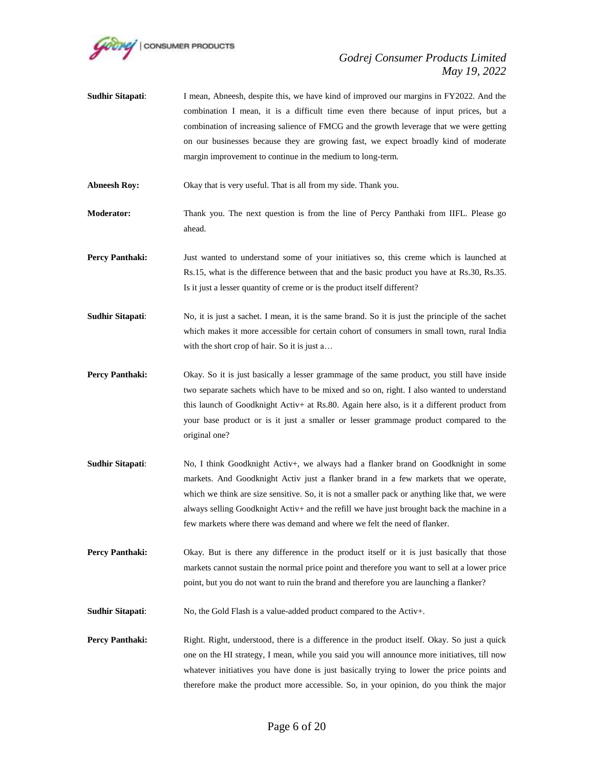

**Sudhir Sitapati:** I mean, Abneesh, despite this, we have kind of improved our margins in FY2022. And the combination I mean, it is a difficult time even there because of input prices, but a combination of increasing salience of FMCG and the growth leverage that we were getting on our businesses because they are growing fast, we expect broadly kind of moderate margin improvement to continue in the medium to long-term.

**Abneesh Roy:** Okay that is very useful. That is all from my side. Thank you.

**Moderator:** Thank you. The next question is from the line of Percy Panthaki from IIFL. Please go ahead.

- **Percy Panthaki:** Just wanted to understand some of your initiatives so, this creme which is launched at Rs.15, what is the difference between that and the basic product you have at Rs.30, Rs.35. Is it just a lesser quantity of creme or is the product itself different?
- **Sudhir Sitapati:** No, it is just a sachet. I mean, it is the same brand. So it is just the principle of the sachet which makes it more accessible for certain cohort of consumers in small town, rural India with the short crop of hair. So it is just a…
- **Percy Panthaki:** Okay. So it is just basically a lesser grammage of the same product, you still have inside two separate sachets which have to be mixed and so on, right. I also wanted to understand this launch of Goodknight Activ+ at Rs.80. Again here also, is it a different product from your base product or is it just a smaller or lesser grammage product compared to the original one?
- **Sudhir Sitapati**: No, I think Goodknight Activ+, we always had a flanker brand on Goodknight in some markets. And Goodknight Activ just a flanker brand in a few markets that we operate, which we think are size sensitive. So, it is not a smaller pack or anything like that, we were always selling Goodknight Activ+ and the refill we have just brought back the machine in a few markets where there was demand and where we felt the need of flanker.
- **Percy Panthaki:** Okay. But is there any difference in the product itself or it is just basically that those markets cannot sustain the normal price point and therefore you want to sell at a lower price point, but you do not want to ruin the brand and therefore you are launching a flanker?
- **Sudhir Sitapati:** No, the Gold Flash is a value-added product compared to the Activ+.
- **Percy Panthaki:** Right. Right, understood, there is a difference in the product itself. Okay. So just a quick one on the HI strategy, I mean, while you said you will announce more initiatives, till now whatever initiatives you have done is just basically trying to lower the price points and therefore make the product more accessible. So, in your opinion, do you think the major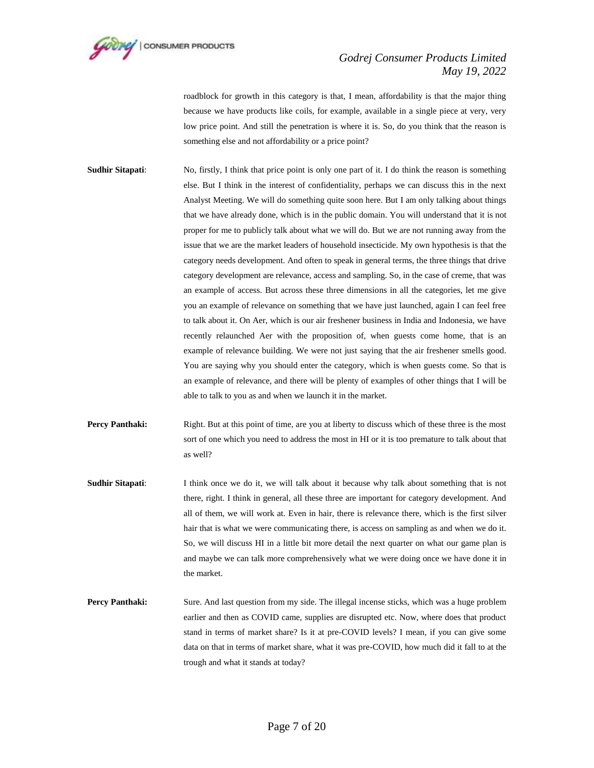

roadblock for growth in this category is that, I mean, affordability is that the major thing because we have products like coils, for example, available in a single piece at very, very low price point. And still the penetration is where it is. So, do you think that the reason is something else and not affordability or a price point?

- **Sudhir Sitapati:** No, firstly, I think that price point is only one part of it. I do think the reason is something else. But I think in the interest of confidentiality, perhaps we can discuss this in the next Analyst Meeting. We will do something quite soon here. But I am only talking about things that we have already done, which is in the public domain. You will understand that it is not proper for me to publicly talk about what we will do. But we are not running away from the issue that we are the market leaders of household insecticide. My own hypothesis is that the category needs development. And often to speak in general terms, the three things that drive category development are relevance, access and sampling. So, in the case of creme, that was an example of access. But across these three dimensions in all the categories, let me give you an example of relevance on something that we have just launched, again I can feel free to talk about it. On Aer, which is our air freshener business in India and Indonesia, we have recently relaunched Aer with the proposition of, when guests come home, that is an example of relevance building. We were not just saying that the air freshener smells good. You are saying why you should enter the category, which is when guests come. So that is an example of relevance, and there will be plenty of examples of other things that I will be able to talk to you as and when we launch it in the market.
- **Percy Panthaki:** Right. But at this point of time, are you at liberty to discuss which of these three is the most sort of one which you need to address the most in HI or it is too premature to talk about that as well?
- **Sudhir Sitapati:** I think once we do it, we will talk about it because why talk about something that is not there, right. I think in general, all these three are important for category development. And all of them, we will work at. Even in hair, there is relevance there, which is the first silver hair that is what we were communicating there, is access on sampling as and when we do it. So, we will discuss HI in a little bit more detail the next quarter on what our game plan is and maybe we can talk more comprehensively what we were doing once we have done it in the market.
- **Percy Panthaki:** Sure. And last question from my side. The illegal incense sticks, which was a huge problem earlier and then as COVID came, supplies are disrupted etc. Now, where does that product stand in terms of market share? Is it at pre-COVID levels? I mean, if you can give some data on that in terms of market share, what it was pre-COVID, how much did it fall to at the trough and what it stands at today?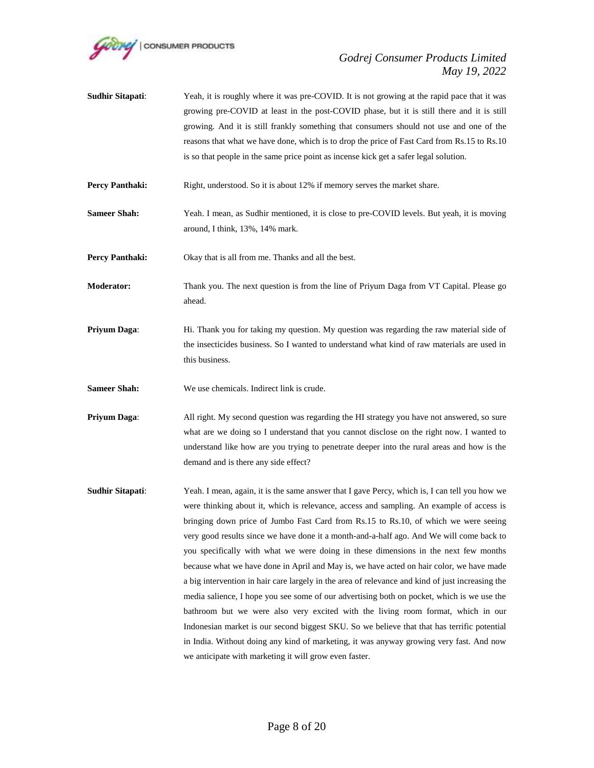

**Sudhir Sitapati:** Yeah, it is roughly where it was pre-COVID. It is not growing at the rapid pace that it was growing pre-COVID at least in the post-COVID phase, but it is still there and it is still growing. And it is still frankly something that consumers should not use and one of the reasons that what we have done, which is to drop the price of Fast Card from Rs.15 to Rs.10 is so that people in the same price point as incense kick get a safer legal solution.

**Percy Panthaki:** Right, understood. So it is about 12% if memory serves the market share.

**Sameer Shah:** Yeah. I mean, as Sudhir mentioned, it is close to pre-COVID levels. But yeah, it is moving around, I think, 13%, 14% mark.

**Percy Panthaki:** Okay that is all from me. Thanks and all the best.

- **Moderator:** Thank you. The next question is from the line of Priyum Daga from VT Capital. Please go ahead.
- **Priyum Daga:** Hi. Thank you for taking my question. My question was regarding the raw material side of the insecticides business. So I wanted to understand what kind of raw materials are used in this business.

**Sameer Shah:** We use chemicals. Indirect link is crude.

- **Priyum Daga:** All right. My second question was regarding the HI strategy you have not answered, so sure what are we doing so I understand that you cannot disclose on the right now. I wanted to understand like how are you trying to penetrate deeper into the rural areas and how is the demand and is there any side effect?
- **Sudhir Sitapati:** Yeah. I mean, again, it is the same answer that I gave Percy, which is, I can tell you how we were thinking about it, which is relevance, access and sampling. An example of access is bringing down price of Jumbo Fast Card from Rs.15 to Rs.10, of which we were seeing very good results since we have done it a month-and-a-half ago. And We will come back to you specifically with what we were doing in these dimensions in the next few months because what we have done in April and May is, we have acted on hair color, we have made a big intervention in hair care largely in the area of relevance and kind of just increasing the media salience, I hope you see some of our advertising both on pocket, which is we use the bathroom but we were also very excited with the living room format, which in our Indonesian market is our second biggest SKU. So we believe that that has terrific potential in India. Without doing any kind of marketing, it was anyway growing very fast. And now we anticipate with marketing it will grow even faster.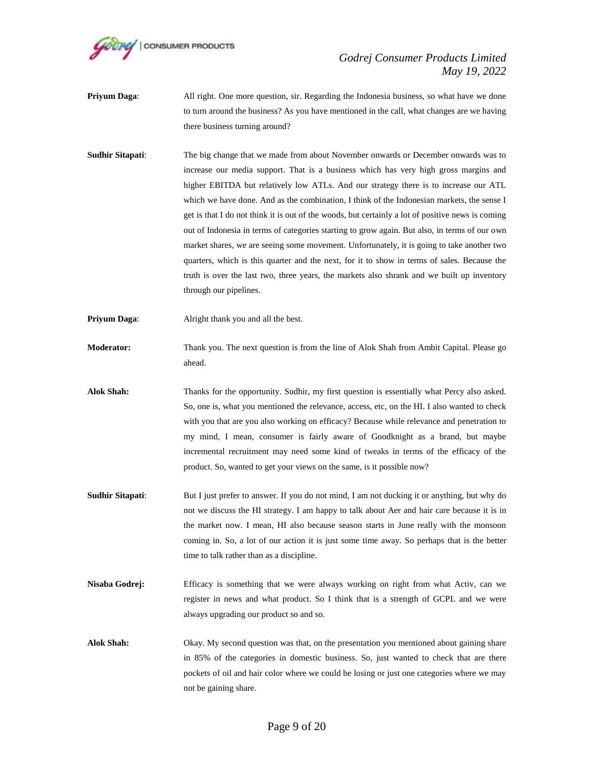

- **Priyum Daga:** All right. One more question, sir. Regarding the Indonesia business, so what have we done to turn around the business? As you have mentioned in the call, what changes are we having there business turning around?
- **Sudhir Sitapati**: The big change that we made from about November onwards or December onwards was to increase our media support. That is a business which has very high gross margins and higher EBITDA but relatively low ATLs. And our strategy there is to increase our ATL which we have done. And as the combination, I think of the Indonesian markets, the sense I get is that I do not think it is out of the woods, but certainly a lot of positive news is coming out of Indonesia in terms of categories starting to grow again. But also, in terms of our own market shares, we are seeing some movement. Unfortunately, it is going to take another two quarters, which is this quarter and the next, for it to show in terms of sales. Because the truth is over the last two, three years, the markets also shrank and we built up inventory through our pipelines.
- **Priyum Daga:** Alright thank you and all the best.
- **Moderator:** Thank you. The next question is from the line of Alok Shah from Ambit Capital. Please go ahead.
- **Alok Shah:** Thanks for the opportunity. Sudhir, my first question is essentially what Percy also asked. So, one is, what you mentioned the relevance, access, etc, on the HI. I also wanted to check with you that are you also working on efficacy? Because while relevance and penetration to my mind, I mean, consumer is fairly aware of Goodknight as a brand, but maybe incremental recruitment may need some kind of tweaks in terms of the efficacy of the product. So, wanted to get your views on the same, is it possible now?
- **Sudhir Sitapati:** But I just prefer to answer. If you do not mind, I am not ducking it or anything, but why do not we discuss the HI strategy. I am happy to talk about Aer and hair care because it is in the market now. I mean, HI also because season starts in June really with the monsoon coming in. So, a lot of our action it is just some time away. So perhaps that is the better time to talk rather than as a discipline.
- **Nisaba Godrej:** Efficacy is something that we were always working on right from what Activ, can we register in news and what product. So I think that is a strength of GCPL and we were always upgrading our product so and so.
- **Alok Shah:** Okay. My second question was that, on the presentation you mentioned about gaining share in 85% of the categories in domestic business. So, just wanted to check that are there pockets of oil and hair color where we could be losing or just one categories where we may not be gaining share.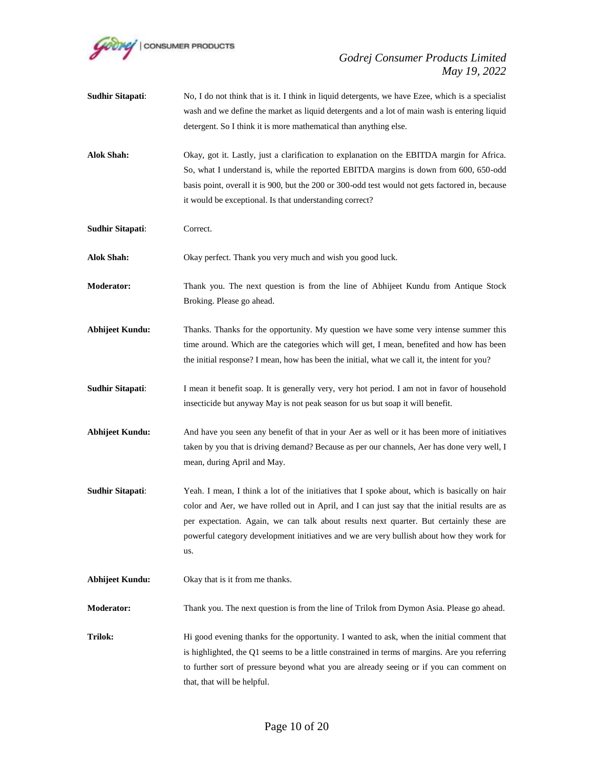

- **Sudhir Sitapati:** No, I do not think that is it. I think in liquid detergents, we have Ezee, which is a specialist wash and we define the market as liquid detergents and a lot of main wash is entering liquid detergent. So I think it is more mathematical than anything else.
- **Alok Shah:** Okay, got it. Lastly, just a clarification to explanation on the EBITDA margin for Africa. So, what I understand is, while the reported EBITDA margins is down from 600, 650-odd basis point, overall it is 900, but the 200 or 300-odd test would not gets factored in, because it would be exceptional. Is that understanding correct?
- **Sudhir Sitapati**: Correct.
- **Alok Shah:** Okay perfect. Thank you very much and wish you good luck.
- **Moderator:** Thank you. The next question is from the line of Abhijeet Kundu from Antique Stock Broking. Please go ahead.
- **Abhijeet Kundu:** Thanks. Thanks for the opportunity. My question we have some very intense summer this time around. Which are the categories which will get, I mean, benefited and how has been the initial response? I mean, how has been the initial, what we call it, the intent for you?
- **Sudhir Sitapati:** I mean it benefit soap. It is generally very, very hot period. I am not in favor of household insecticide but anyway May is not peak season for us but soap it will benefit.
- **Abhijeet Kundu:** And have you seen any benefit of that in your Aer as well or it has been more of initiatives taken by you that is driving demand? Because as per our channels, Aer has done very well, I mean, during April and May.
- **Sudhir Sitapati:** Yeah. I mean, I think a lot of the initiatives that I spoke about, which is basically on hair color and Aer, we have rolled out in April, and I can just say that the initial results are as per expectation. Again, we can talk about results next quarter. But certainly these are powerful category development initiatives and we are very bullish about how they work for us.
- **Abhijeet Kundu:** Okay that is it from me thanks.

**Moderator:** Thank you. The next question is from the line of Trilok from Dymon Asia. Please go ahead.

**Trilok:** Hi good evening thanks for the opportunity. I wanted to ask, when the initial comment that is highlighted, the Q1 seems to be a little constrained in terms of margins. Are you referring to further sort of pressure beyond what you are already seeing or if you can comment on that, that will be helpful.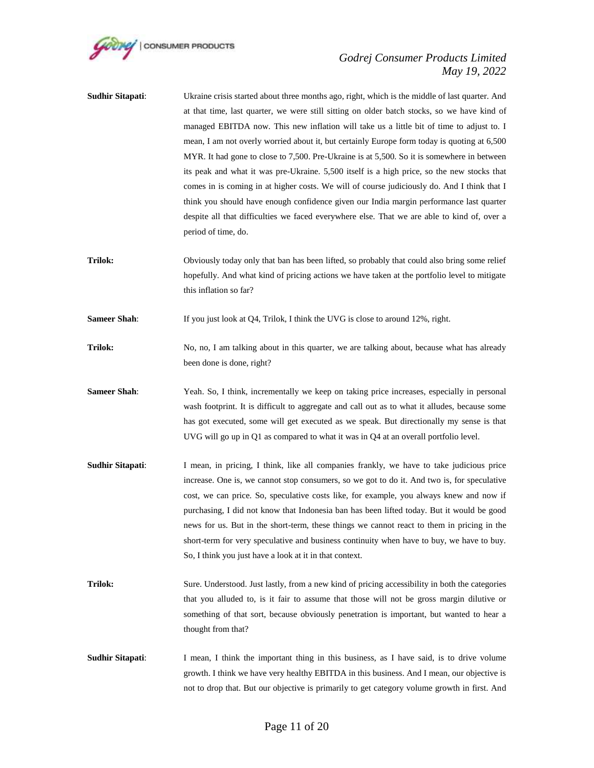

- **Sudhir Sitapati:** Ukraine crisis started about three months ago, right, which is the middle of last quarter. And at that time, last quarter, we were still sitting on older batch stocks, so we have kind of managed EBITDA now. This new inflation will take us a little bit of time to adjust to. I mean, I am not overly worried about it, but certainly Europe form today is quoting at 6,500 MYR. It had gone to close to 7,500. Pre-Ukraine is at 5,500. So it is somewhere in between its peak and what it was pre-Ukraine. 5,500 itself is a high price, so the new stocks that comes in is coming in at higher costs. We will of course judiciously do. And I think that I think you should have enough confidence given our India margin performance last quarter despite all that difficulties we faced everywhere else. That we are able to kind of, over a period of time, do.
- **Trilok:** Obviously today only that ban has been lifted, so probably that could also bring some relief hopefully. And what kind of pricing actions we have taken at the portfolio level to mitigate this inflation so far?

**Sameer Shah**: If you just look at Q4, Trilok, I think the UVG is close to around 12%, right.

**Trilok:** No, no, I am talking about in this quarter, we are talking about, because what has already been done is done, right?

- **Sameer Shah**: Yeah. So, I think, incrementally we keep on taking price increases, especially in personal wash footprint. It is difficult to aggregate and call out as to what it alludes, because some has got executed, some will get executed as we speak. But directionally my sense is that UVG will go up in Q1 as compared to what it was in Q4 at an overall portfolio level.
- **Sudhir Sitapati:** I mean, in pricing, I think, like all companies frankly, we have to take judicious price increase. One is, we cannot stop consumers, so we got to do it. And two is, for speculative cost, we can price. So, speculative costs like, for example, you always knew and now if purchasing, I did not know that Indonesia ban has been lifted today. But it would be good news for us. But in the short-term, these things we cannot react to them in pricing in the short-term for very speculative and business continuity when have to buy, we have to buy. So, I think you just have a look at it in that context.
- **Trilok:** Sure. Understood. Just lastly, from a new kind of pricing accessibility in both the categories that you alluded to, is it fair to assume that those will not be gross margin dilutive or something of that sort, because obviously penetration is important, but wanted to hear a thought from that?
- **Sudhir Sitapati:** I mean, I think the important thing in this business, as I have said, is to drive volume growth. I think we have very healthy EBITDA in this business. And I mean, our objective is not to drop that. But our objective is primarily to get category volume growth in first. And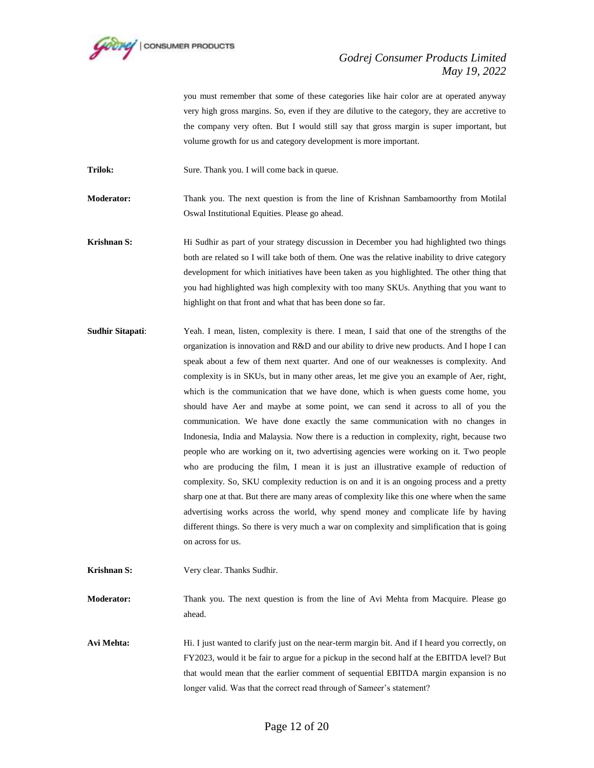

you must remember that some of these categories like hair color are at operated anyway very high gross margins. So, even if they are dilutive to the category, they are accretive to the company very often. But I would still say that gross margin is super important, but volume growth for us and category development is more important.

Trilok: Sure. Thank you. I will come back in queue.

**Moderator:** Thank you. The next question is from the line of Krishnan Sambamoorthy from Motilal Oswal Institutional Equities. Please go ahead.

**Krishnan S: Hi** Sudhir as part of your strategy discussion in December you had highlighted two things both are related so I will take both of them. One was the relative inability to drive category development for which initiatives have been taken as you highlighted. The other thing that you had highlighted was high complexity with too many SKUs. Anything that you want to highlight on that front and what that has been done so far.

**Sudhir Sitapati**: Yeah. I mean, listen, complexity is there. I mean, I said that one of the strengths of the organization is innovation and R&D and our ability to drive new products. And I hope I can speak about a few of them next quarter. And one of our weaknesses is complexity. And complexity is in SKUs, but in many other areas, let me give you an example of Aer, right, which is the communication that we have done, which is when guests come home, you should have Aer and maybe at some point, we can send it across to all of you the communication. We have done exactly the same communication with no changes in Indonesia, India and Malaysia. Now there is a reduction in complexity, right, because two people who are working on it, two advertising agencies were working on it. Two people who are producing the film, I mean it is just an illustrative example of reduction of complexity. So, SKU complexity reduction is on and it is an ongoing process and a pretty sharp one at that. But there are many areas of complexity like this one where when the same advertising works across the world, why spend money and complicate life by having different things. So there is very much a war on complexity and simplification that is going on across for us.

**Krishnan S:** Very clear. Thanks Sudhir.

**Moderator:** Thank you. The next question is from the line of Avi Mehta from Macquire. Please go ahead.

Avi Mehta: Hi. I just wanted to clarify just on the near-term margin bit. And if I heard you correctly, on FY2023, would it be fair to argue for a pickup in the second half at the EBITDA level? But that would mean that the earlier comment of sequential EBITDA margin expansion is no longer valid. Was that the correct read through of Sameer's statement?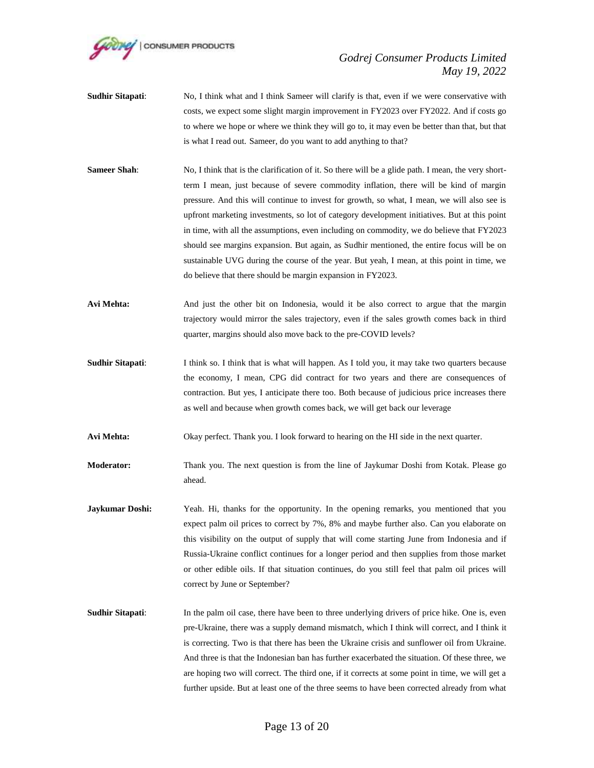

- **Sudhir Sitapati:** No, I think what and I think Sameer will clarify is that, even if we were conservative with costs, we expect some slight margin improvement in FY2023 over FY2022. And if costs go to where we hope or where we think they will go to, it may even be better than that, but that is what I read out. Sameer, do you want to add anything to that?
- **Sameer Shah**: No, I think that is the clarification of it. So there will be a glide path. I mean, the very shortterm I mean, just because of severe commodity inflation, there will be kind of margin pressure. And this will continue to invest for growth, so what, I mean, we will also see is upfront marketing investments, so lot of category development initiatives. But at this point in time, with all the assumptions, even including on commodity, we do believe that FY2023 should see margins expansion. But again, as Sudhir mentioned, the entire focus will be on sustainable UVG during the course of the year. But yeah, I mean, at this point in time, we do believe that there should be margin expansion in FY2023.
- **Avi Mehta:** And just the other bit on Indonesia, would it be also correct to argue that the margin trajectory would mirror the sales trajectory, even if the sales growth comes back in third quarter, margins should also move back to the pre-COVID levels?
- **Sudhir Sitapati:** I think so. I think that is what will happen. As I told you, it may take two quarters because the economy, I mean, CPG did contract for two years and there are consequences of contraction. But yes, I anticipate there too. Both because of judicious price increases there as well and because when growth comes back, we will get back our leverage

**Avi Mehta:** Okay perfect. Thank you. I look forward to hearing on the HI side in the next quarter.

- **Moderator:** Thank you. The next question is from the line of Jaykumar Doshi from Kotak. Please go ahead.
- **Jaykumar Doshi:** Yeah. Hi, thanks for the opportunity. In the opening remarks, you mentioned that you expect palm oil prices to correct by 7%, 8% and maybe further also. Can you elaborate on this visibility on the output of supply that will come starting June from Indonesia and if Russia-Ukraine conflict continues for a longer period and then supplies from those market or other edible oils. If that situation continues, do you still feel that palm oil prices will correct by June or September?
- **Sudhir Sitapati:** In the palm oil case, there have been to three underlying drivers of price hike. One is, even pre-Ukraine, there was a supply demand mismatch, which I think will correct, and I think it is correcting. Two is that there has been the Ukraine crisis and sunflower oil from Ukraine. And three is that the Indonesian ban has further exacerbated the situation. Of these three, we are hoping two will correct. The third one, if it corrects at some point in time, we will get a further upside. But at least one of the three seems to have been corrected already from what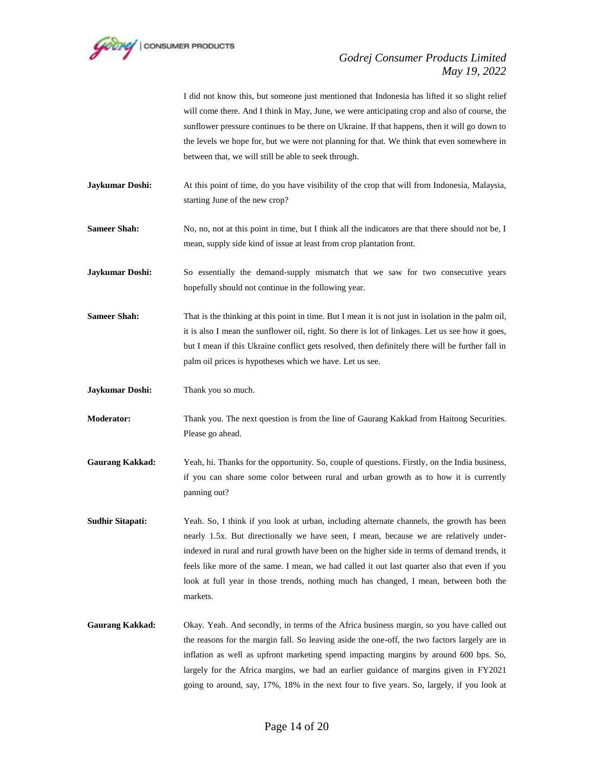

I did not know this, but someone just mentioned that Indonesia has lifted it so slight relief will come there. And I think in May, June, we were anticipating crop and also of course, the sunflower pressure continues to be there on Ukraine. If that happens, then it will go down to the levels we hope for, but we were not planning for that. We think that even somewhere in between that, we will still be able to seek through.

**Jaykumar Doshi:** At this point of time, do you have visibility of the crop that will from Indonesia, Malaysia, starting June of the new crop?

**Sameer Shah:** No, no, not at this point in time, but I think all the indicators are that there should not be, I mean, supply side kind of issue at least from crop plantation front.

**Jaykumar Doshi:** So essentially the demand-supply mismatch that we saw for two consecutive years hopefully should not continue in the following year.

**Sameer Shah:** That is the thinking at this point in time. But I mean it is not just in isolation in the palm oil, it is also I mean the sunflower oil, right. So there is lot of linkages. Let us see how it goes, but I mean if this Ukraine conflict gets resolved, then definitely there will be further fall in palm oil prices is hypotheses which we have. Let us see.

**Jaykumar Doshi:** Thank you so much.

**Moderator:** Thank you. The next question is from the line of Gaurang Kakkad from Haitong Securities. Please go ahead.

**Gaurang Kakkad:** Yeah, hi. Thanks for the opportunity. So, couple of questions. Firstly, on the India business, if you can share some color between rural and urban growth as to how it is currently panning out?

**Sudhir Sitapati:** Yeah. So, I think if you look at urban, including alternate channels, the growth has been nearly 1.5x. But directionally we have seen, I mean, because we are relatively underindexed in rural and rural growth have been on the higher side in terms of demand trends, it feels like more of the same. I mean, we had called it out last quarter also that even if you look at full year in those trends, nothing much has changed, I mean, between both the markets.

Gaurang Kakkad: Okay. Yeah. And secondly, in terms of the Africa business margin, so you have called out the reasons for the margin fall. So leaving aside the one-off, the two factors largely are in inflation as well as upfront marketing spend impacting margins by around 600 bps. So, largely for the Africa margins, we had an earlier guidance of margins given in FY2021 going to around, say, 17%, 18% in the next four to five years. So, largely, if you look at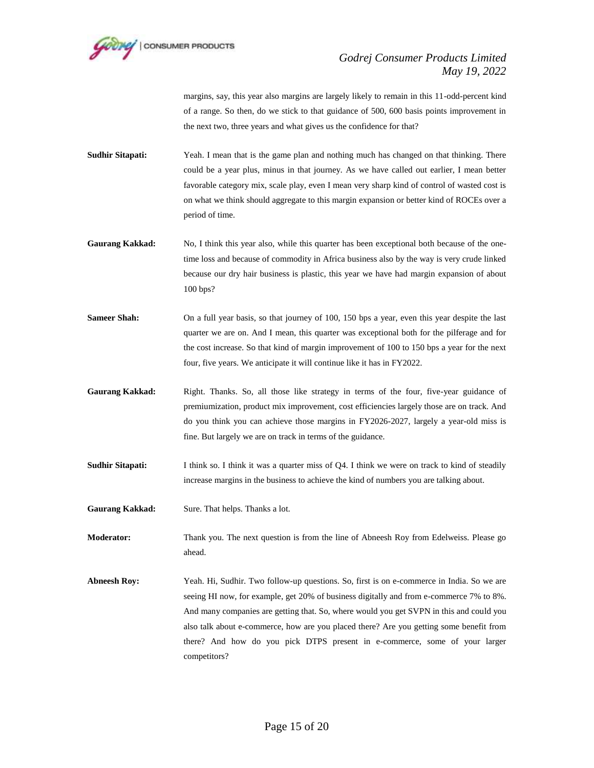

margins, say, this year also margins are largely likely to remain in this 11-odd-percent kind of a range. So then, do we stick to that guidance of 500, 600 basis points improvement in the next two, three years and what gives us the confidence for that?

**Sudhir Sitapati:** Yeah. I mean that is the game plan and nothing much has changed on that thinking. There could be a year plus, minus in that journey. As we have called out earlier, I mean better favorable category mix, scale play, even I mean very sharp kind of control of wasted cost is on what we think should aggregate to this margin expansion or better kind of ROCEs over a period of time.

- Gaurang Kakkad: No, I think this year also, while this quarter has been exceptional both because of the onetime loss and because of commodity in Africa business also by the way is very crude linked because our dry hair business is plastic, this year we have had margin expansion of about 100 bps?
- **Sameer Shah:** On a full year basis, so that journey of 100, 150 bps a year, even this year despite the last quarter we are on. And I mean, this quarter was exceptional both for the pilferage and for the cost increase. So that kind of margin improvement of 100 to 150 bps a year for the next four, five years. We anticipate it will continue like it has in FY2022.
- Gaurang Kakkad: Right. Thanks. So, all those like strategy in terms of the four, five-year guidance of premiumization, product mix improvement, cost efficiencies largely those are on track. And do you think you can achieve those margins in FY2026-2027, largely a year-old miss is fine. But largely we are on track in terms of the guidance.
- **Sudhir Sitapati:** I think so. I think it was a quarter miss of Q4. I think we were on track to kind of steadily increase margins in the business to achieve the kind of numbers you are talking about.
- **Gaurang Kakkad:** Sure. That helps. Thanks a lot.

**Moderator:** Thank you. The next question is from the line of Abneesh Roy from Edelweiss. Please go ahead.

**Abneesh Roy:** Yeah. Hi, Sudhir. Two follow-up questions. So, first is on e-commerce in India. So we are seeing HI now, for example, get 20% of business digitally and from e-commerce 7% to 8%. And many companies are getting that. So, where would you get SVPN in this and could you also talk about e-commerce, how are you placed there? Are you getting some benefit from there? And how do you pick DTPS present in e-commerce, some of your larger competitors?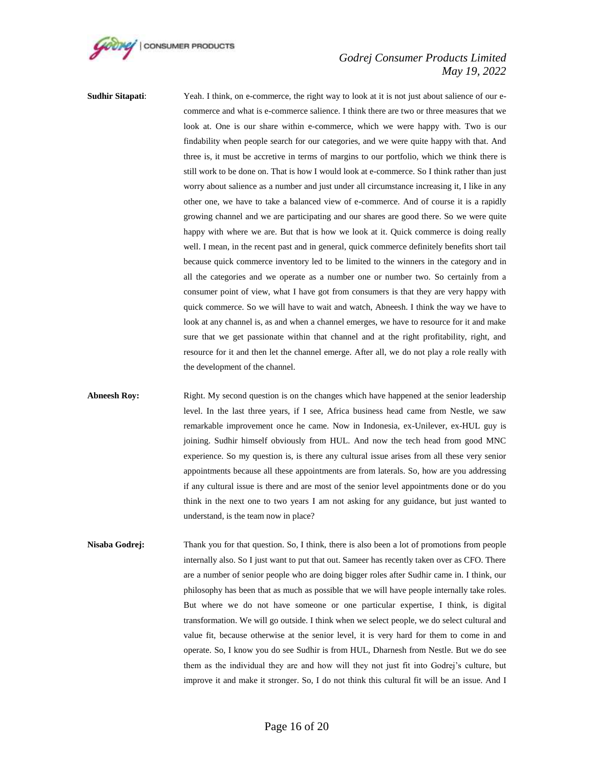

**Sudhir Sitapati:** Yeah. I think, on e-commerce, the right way to look at it is not just about salience of our ecommerce and what is e-commerce salience. I think there are two or three measures that we look at. One is our share within e-commerce, which we were happy with. Two is our findability when people search for our categories, and we were quite happy with that. And three is, it must be accretive in terms of margins to our portfolio, which we think there is still work to be done on. That is how I would look at e-commerce. So I think rather than just worry about salience as a number and just under all circumstance increasing it, I like in any other one, we have to take a balanced view of e-commerce. And of course it is a rapidly growing channel and we are participating and our shares are good there. So we were quite happy with where we are. But that is how we look at it. Quick commerce is doing really well. I mean, in the recent past and in general, quick commerce definitely benefits short tail because quick commerce inventory led to be limited to the winners in the category and in all the categories and we operate as a number one or number two. So certainly from a consumer point of view, what I have got from consumers is that they are very happy with quick commerce. So we will have to wait and watch, Abneesh. I think the way we have to look at any channel is, as and when a channel emerges, we have to resource for it and make sure that we get passionate within that channel and at the right profitability, right, and resource for it and then let the channel emerge. After all, we do not play a role really with the development of the channel.

**Abneesh Roy:** Right. My second question is on the changes which have happened at the senior leadership level. In the last three years, if I see, Africa business head came from Nestle, we saw remarkable improvement once he came. Now in Indonesia, ex-Unilever, ex-HUL guy is joining. Sudhir himself obviously from HUL. And now the tech head from good MNC experience. So my question is, is there any cultural issue arises from all these very senior appointments because all these appointments are from laterals. So, how are you addressing if any cultural issue is there and are most of the senior level appointments done or do you think in the next one to two years I am not asking for any guidance, but just wanted to understand, is the team now in place?

**Nisaba Godrej:** Thank you for that question. So, I think, there is also been a lot of promotions from people internally also. So I just want to put that out. Sameer has recently taken over as CFO. There are a number of senior people who are doing bigger roles after Sudhir came in. I think, our philosophy has been that as much as possible that we will have people internally take roles. But where we do not have someone or one particular expertise, I think, is digital transformation. We will go outside. I think when we select people, we do select cultural and value fit, because otherwise at the senior level, it is very hard for them to come in and operate. So, I know you do see Sudhir is from HUL, Dharnesh from Nestle. But we do see them as the individual they are and how will they not just fit into Godrej's culture, but improve it and make it stronger. So, I do not think this cultural fit will be an issue. And I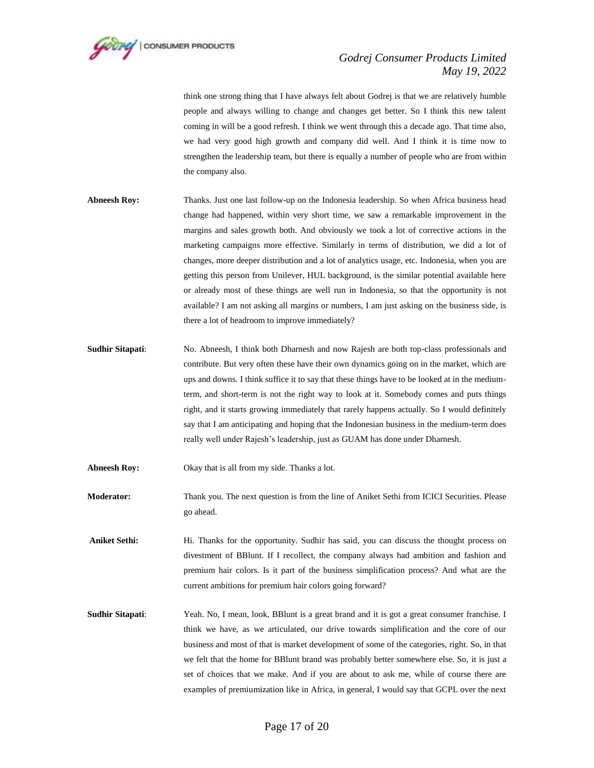

think one strong thing that I have always felt about Godrej is that we are relatively humble people and always willing to change and changes get better. So I think this new talent coming in will be a good refresh. I think we went through this a decade ago. That time also, we had very good high growth and company did well. And I think it is time now to strengthen the leadership team, but there is equally a number of people who are from within the company also.

- **Abneesh Roy:** Thanks. Just one last follow-up on the Indonesia leadership. So when Africa business head change had happened, within very short time, we saw a remarkable improvement in the margins and sales growth both. And obviously we took a lot of corrective actions in the marketing campaigns more effective. Similarly in terms of distribution, we did a lot of changes, more deeper distribution and a lot of analytics usage, etc. Indonesia, when you are getting this person from Unilever, HUL background, is the similar potential available here or already most of these things are well run in Indonesia, so that the opportunity is not available? I am not asking all margins or numbers, I am just asking on the business side, is there a lot of headroom to improve immediately?
- **Sudhir Sitapati**: No. Abneesh, I think both Dharnesh and now Rajesh are both top-class professionals and contribute. But very often these have their own dynamics going on in the market, which are ups and downs. I think suffice it to say that these things have to be looked at in the mediumterm, and short-term is not the right way to look at it. Somebody comes and puts things right, and it starts growing immediately that rarely happens actually. So I would definitely say that I am anticipating and hoping that the Indonesian business in the medium-term does really well under Rajesh's leadership, just as GUAM has done under Dharnesh.
- **Abneesh Roy:** Okay that is all from my side. Thanks a lot.
- **Moderator:** Thank you. The next question is from the line of Aniket Sethi from ICICI Securities. Please go ahead.
- **Aniket Sethi:** Hi. Thanks for the opportunity. Sudhir has said, you can discuss the thought process on divestment of BBlunt. If I recollect, the company always had ambition and fashion and premium hair colors. Is it part of the business simplification process? And what are the current ambitions for premium hair colors going forward?
- **Sudhir Sitapati:** Yeah. No, I mean, look, BBlunt is a great brand and it is got a great consumer franchise. I think we have, as we articulated, our drive towards simplification and the core of our business and most of that is market development of some of the categories, right. So, in that we felt that the home for BBlunt brand was probably better somewhere else. So, it is just a set of choices that we make. And if you are about to ask me, while of course there are examples of premiumization like in Africa, in general, I would say that GCPL over the next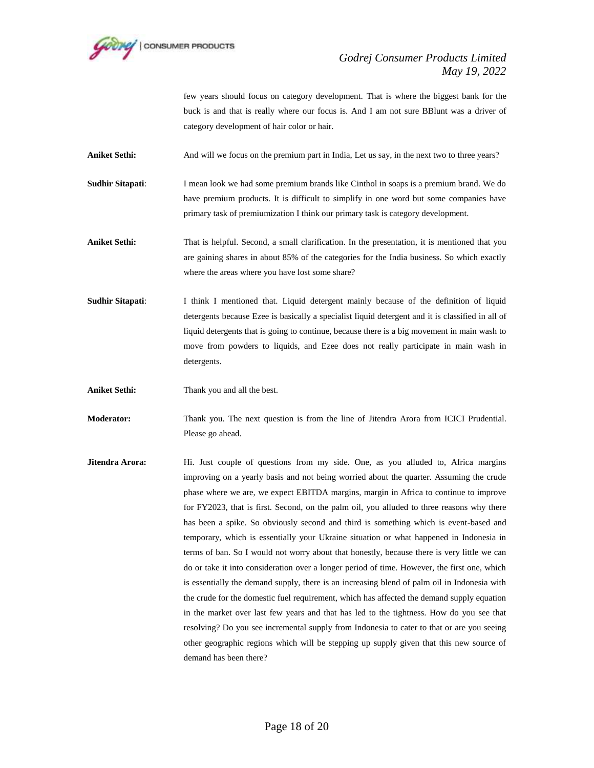

few years should focus on category development. That is where the biggest bank for the buck is and that is really where our focus is. And I am not sure BBlunt was a driver of category development of hair color or hair.

Aniket Sethi: And will we focus on the premium part in India, Let us say, in the next two to three years?

**Sudhir Sitapati**: I mean look we had some premium brands like Cinthol in soaps is a premium brand. We do have premium products. It is difficult to simplify in one word but some companies have primary task of premiumization I think our primary task is category development.

Aniket Sethi: That is helpful. Second, a small clarification. In the presentation, it is mentioned that you are gaining shares in about 85% of the categories for the India business. So which exactly where the areas where you have lost some share?

**Sudhir Sitapati**: I think I mentioned that. Liquid detergent mainly because of the definition of liquid detergents because Ezee is basically a specialist liquid detergent and it is classified in all of liquid detergents that is going to continue, because there is a big movement in main wash to move from powders to liquids, and Ezee does not really participate in main wash in detergents.

**Aniket Sethi:** Thank you and all the best.

**Moderator:** Thank you. The next question is from the line of Jitendra Arora from ICICI Prudential. Please go ahead.

**Jitendra Arora:** Hi. Just couple of questions from my side. One, as you alluded to, Africa margins improving on a yearly basis and not being worried about the quarter. Assuming the crude phase where we are, we expect EBITDA margins, margin in Africa to continue to improve for FY2023, that is first. Second, on the palm oil, you alluded to three reasons why there has been a spike. So obviously second and third is something which is event-based and temporary, which is essentially your Ukraine situation or what happened in Indonesia in terms of ban. So I would not worry about that honestly, because there is very little we can do or take it into consideration over a longer period of time. However, the first one, which is essentially the demand supply, there is an increasing blend of palm oil in Indonesia with the crude for the domestic fuel requirement, which has affected the demand supply equation in the market over last few years and that has led to the tightness. How do you see that resolving? Do you see incremental supply from Indonesia to cater to that or are you seeing other geographic regions which will be stepping up supply given that this new source of demand has been there?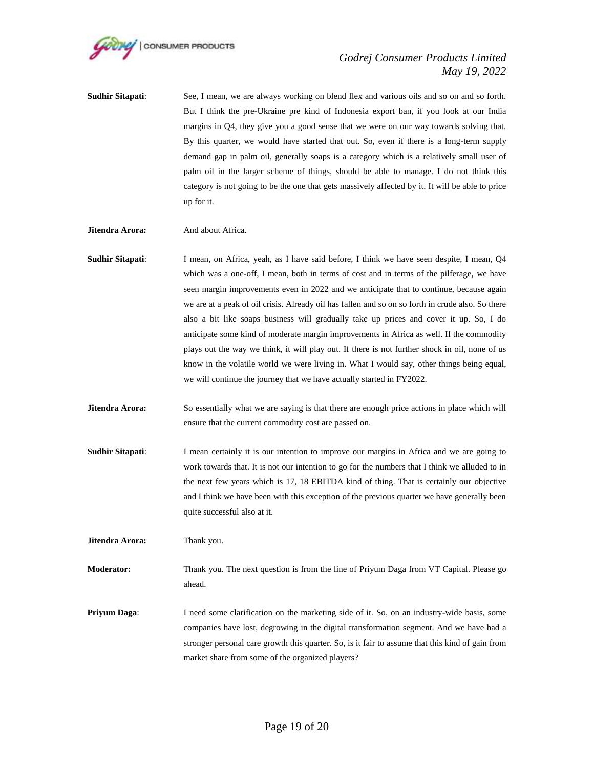

- **Sudhir Sitapati**: See, I mean, we are always working on blend flex and various oils and so on and so forth. But I think the pre-Ukraine pre kind of Indonesia export ban, if you look at our India margins in Q4, they give you a good sense that we were on our way towards solving that. By this quarter, we would have started that out. So, even if there is a long-term supply demand gap in palm oil, generally soaps is a category which is a relatively small user of palm oil in the larger scheme of things, should be able to manage. I do not think this category is not going to be the one that gets massively affected by it. It will be able to price up for it.
- **Jitendra Arora:** And about Africa.
- **Sudhir Sitapati**: I mean, on Africa, yeah, as I have said before, I think we have seen despite, I mean, Q4 which was a one-off, I mean, both in terms of cost and in terms of the pilferage, we have seen margin improvements even in 2022 and we anticipate that to continue, because again we are at a peak of oil crisis. Already oil has fallen and so on so forth in crude also. So there also a bit like soaps business will gradually take up prices and cover it up. So, I do anticipate some kind of moderate margin improvements in Africa as well. If the commodity plays out the way we think, it will play out. If there is not further shock in oil, none of us know in the volatile world we were living in. What I would say, other things being equal, we will continue the journey that we have actually started in FY2022.
- **Jitendra Arora:** So essentially what we are saying is that there are enough price actions in place which will ensure that the current commodity cost are passed on.
- **Sudhir Sitapati:** I mean certainly it is our intention to improve our margins in Africa and we are going to work towards that. It is not our intention to go for the numbers that I think we alluded to in the next few years which is 17, 18 EBITDA kind of thing. That is certainly our objective and I think we have been with this exception of the previous quarter we have generally been quite successful also at it.

**Jitendra Arora:** Thank you.

**Moderator:** Thank you. The next question is from the line of Priyum Daga from VT Capital. Please go ahead.

**Priyum Daga:** I need some clarification on the marketing side of it. So, on an industry-wide basis, some companies have lost, degrowing in the digital transformation segment. And we have had a stronger personal care growth this quarter. So, is it fair to assume that this kind of gain from market share from some of the organized players?